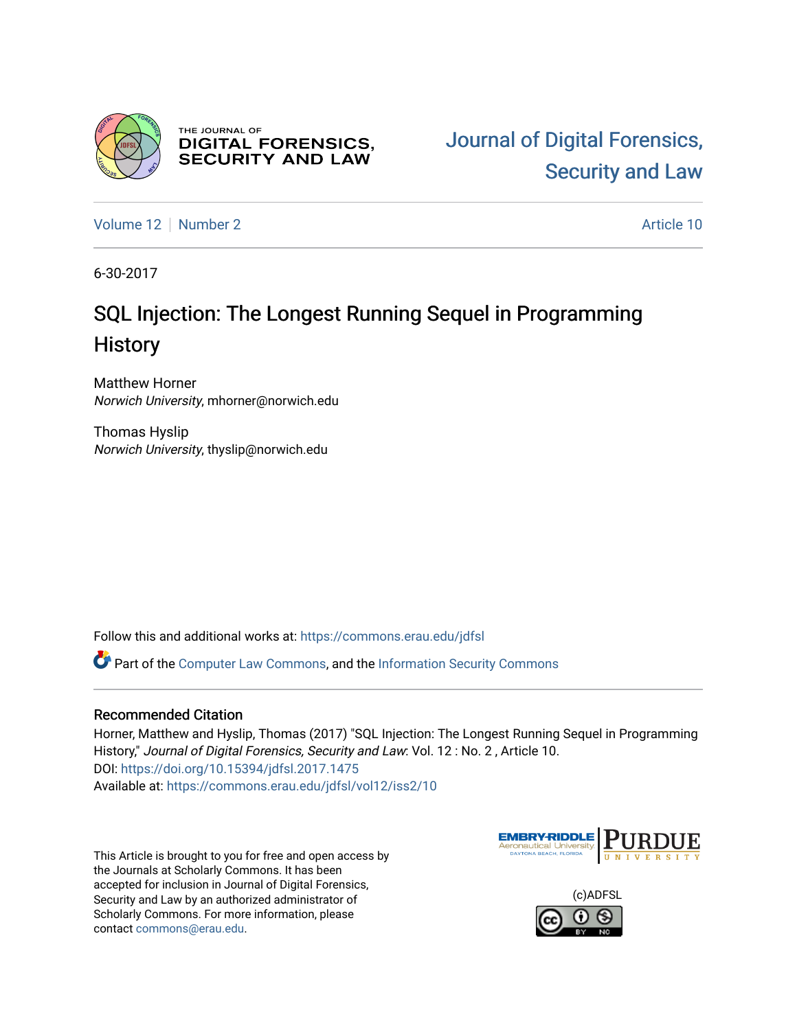

THE JOURNAL OF **DIGITAL FORENSICS, SECURITY AND LAW** 

[Volume 12](https://commons.erau.edu/jdfsl/vol12) [Number 2](https://commons.erau.edu/jdfsl/vol12/iss2) Article 10

6-30-2017

# SQL Injection: The Longest Running Sequel in Programming **History**

Matthew Horner Norwich University, mhorner@norwich.edu

Thomas Hyslip Norwich University, thyslip@norwich.edu

Follow this and additional works at: [https://commons.erau.edu/jdfsl](https://commons.erau.edu/jdfsl?utm_source=commons.erau.edu%2Fjdfsl%2Fvol12%2Fiss2%2F10&utm_medium=PDF&utm_campaign=PDFCoverPages)

Part of the [Computer Law Commons,](http://network.bepress.com/hgg/discipline/837?utm_source=commons.erau.edu%2Fjdfsl%2Fvol12%2Fiss2%2F10&utm_medium=PDF&utm_campaign=PDFCoverPages) and the [Information Security Commons](http://network.bepress.com/hgg/discipline/1247?utm_source=commons.erau.edu%2Fjdfsl%2Fvol12%2Fiss2%2F10&utm_medium=PDF&utm_campaign=PDFCoverPages) 

#### Recommended Citation

Horner, Matthew and Hyslip, Thomas (2017) "SQL Injection: The Longest Running Sequel in Programming History," Journal of Digital Forensics, Security and Law: Vol. 12 : No. 2 , Article 10. DOI:<https://doi.org/10.15394/jdfsl.2017.1475> Available at: [https://commons.erau.edu/jdfsl/vol12/iss2/10](https://commons.erau.edu/jdfsl/vol12/iss2/10?utm_source=commons.erau.edu%2Fjdfsl%2Fvol12%2Fiss2%2F10&utm_medium=PDF&utm_campaign=PDFCoverPages) 

This Article is brought to you for free and open access by the Journals at Scholarly Commons. It has been accepted for inclusion in Journal of Digital Forensics, Security and Law by an authorized administrator of Scholarly Commons. For more information, please contact [commons@erau.edu.](mailto:commons@erau.edu)



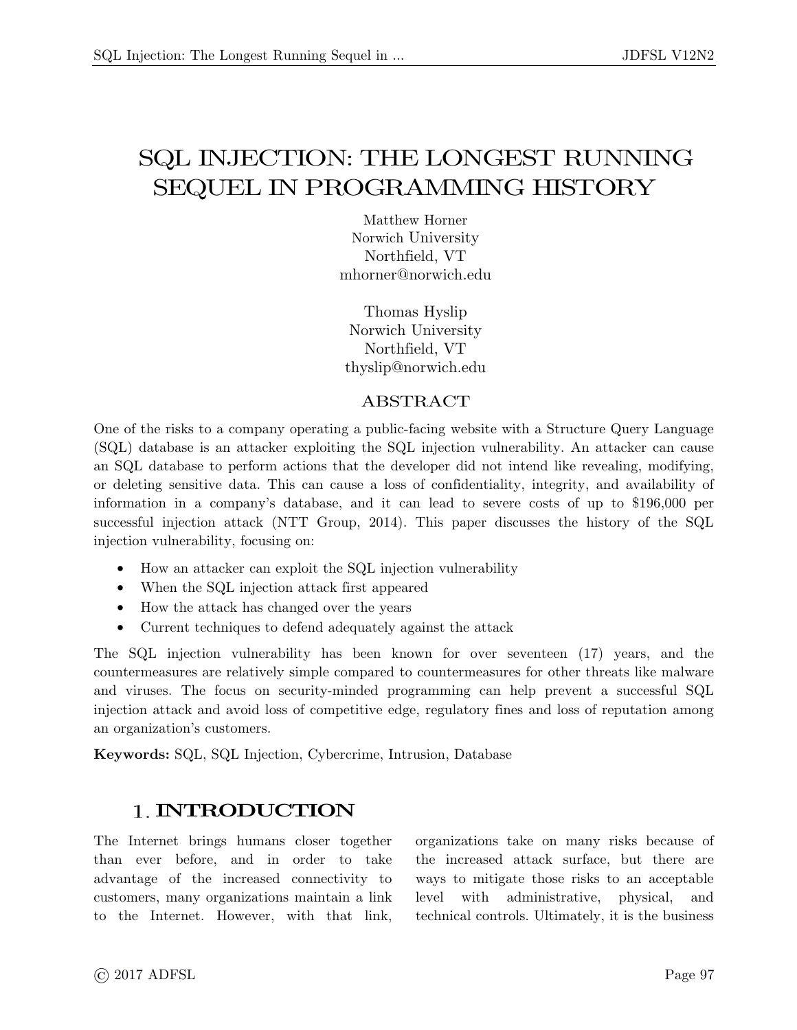# SEQUEL IN PROGRAMMING HISTORY  $S = S$  and  $S = S$  and  $S = S$  and  $S = S$  and  $S = S$  and  $S = S$  and  $S = S$  and  $S = S$  and  $S = S$  and  $S = S$  and  $S = S$  and  $S = S$  and  $S = S$  and  $S = S$  and  $S = S$  and  $S = S$  and  $S = S$  and  $S = S$  and  $S = S$  and  $S = S$  and  $S = S$  and  $S = S$  and

Norwich University Northfield, VT mhorner@norwich.edu mhorner@norwich.edu

Thomas Hyslip<br>Norwich University Northfield, VT - III-11114, VT<br>slin@norwich\_ee  $t = \frac{1}{2}$ sip $\frac{1}{2}$ 

ABSTRACT<br>One of the risks to a company operating a public-facing website with a Structure Query Language (SQL) database is an attacker exploiting the SQL injection vulnerability. An attacker can cause an SQL database to perform actions that the developer did not intend like revealing, modifying, or deleting sensitive data. This can cause a loss of confidentiality, integrity, and availability of information in a company's database, and it can lead to severe costs of up to \$196,000 per successful injection attack (NTT Group, 2014). This paper discusses the history of the  $\text{SQL}$  $s$ uccessive injection attack (NTT  $s$  Group, 2014). This paper discusses the history of the SQL  $j$ inity, focusing ones on:

- How an attacker can exploit the SQL injection vulnerability
- When the SQL injection attack first appeared
- How the attack has changed over the years<br>• Current techniques to defend adequately as
- Current techniques to defend adequately against the attack

The SQL injection vulnerability has been known for over seventeen (17) years, and the countermeasures are relatively simple compared to countermeasures for other threats like malware and viruses. The focus on security-minded programming can help prevent a successful SQL injection attack and avoid loss of competitive edge, regulatory fines and loss of reputation among an organization's customers. an organization's customers.

**Keywords:** SQL, SQL Injection, Cybercrime, Intrusion, Database

#### **1. INTRODUCTION**

The Internet brings humans closer together<br>than ever before, and in order to take advantage of the increased connectivity to customers, many organizations maintain a link to the Internet. However, with that link,  $\mathbf{H}$  to the Internet. However, with the Internet  $\mathbf{H}$  organizations take on many risks because of ways to mitigate those risks to an acceptable level with administrative, physical, and technical controls. Ultimately, it is the business  $\sum_{i=1}^{n}$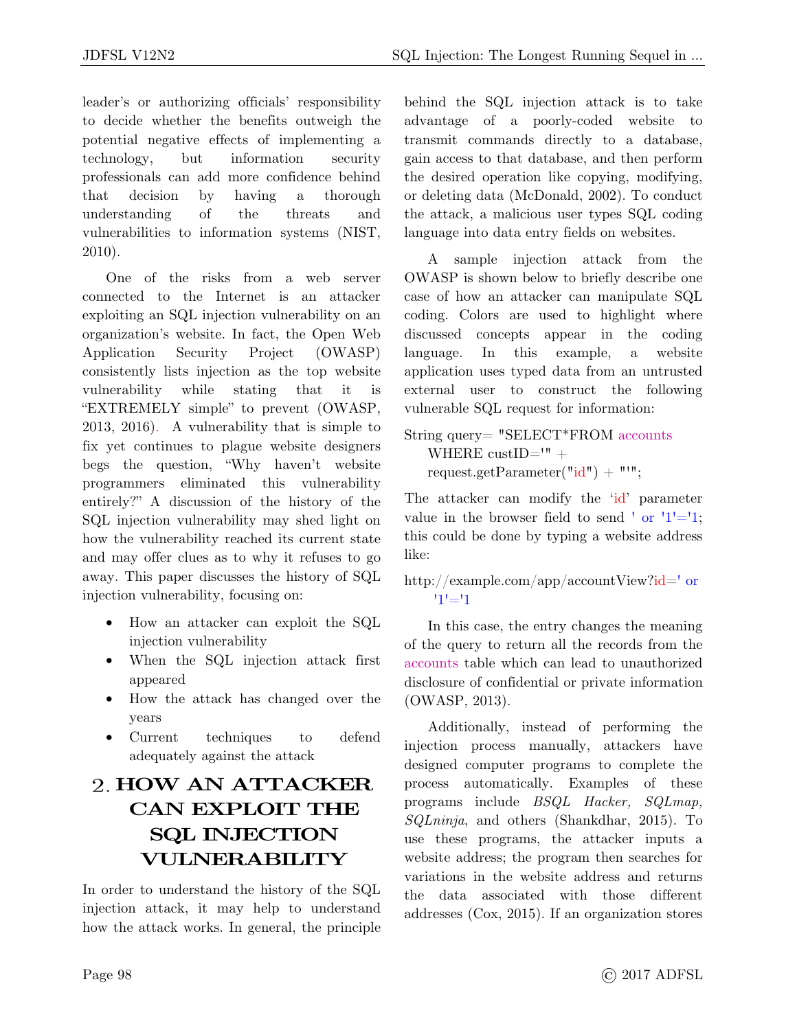leader's or authorizing officials' responsibility<br>to decide whether the benefits outweigh the potential negative effects of implementing a technology, but information security professionals can add more confidence behind  $\frac{1}{\sqrt{2}}$  can add more confidence behind  $\frac{1}{\sqrt{2}}$  continues confidence behind  $\frac{1}{\sqrt{2}}$  continues confidence behind  $\frac{1}{\sqrt{2}}$  continues continues continues continues continues continues continues continues co that decision by having a thorough<br>understanding of the threats and vulnerabilities to information systems (NIST,  $v_{1}$  and  $v_{2}$  and  $v_{3}$  and  $v_{4}$  and  $v_{5}$  and  $v_{5}$  and  $v_{6}$  and  $v_{7}$  and  $v_{8}$  and  $v_{9}$  and  $v_{10}$  and  $v_{11}$  and  $v_{12}$  and  $v_{13}$  and  $v_{14}$  and  $v_{15}$  and  $v_{16}$  and  $v_{17}$  and  $v_{18}$  and  $v_{$ 2010).

One of the risks from a web server<br>connected to the Internet is an attacker exploiting an SQL injection vulnerability on an exploiting an SQL injection vulnerability on an  $A_{\text{m}}$  is a second  $A_{\text{m}}$  organization. Application Security Project (OWASP)<br>consistently lists injection as the top website vulnerability while stating that it is "EXTREMELY simple" to prevent (OWASP,  $2013$ ,  $2016$ ). A vulnerability that is simple to fix yet continues to plague website designers begs the question, "Why haven't website programmers eliminated this vulnerability entirely?" A discussion of the history of the SQL injection vulnerability may shed light on how the vulnerability reached its current state and may offer clues as to why it refuses to go away. This paper discusses the history of SQL injection vulnerability, focusing on:  $j$ inity, focusing ones on:

- How an attacker can exploit the SQL
- When the SQL injection attack first
- How the attack has changed over the
- years • Current techniques to defend adequately against the attack

# **HOW AN ATTACKER CAN EXPLOIT THE SQL INJECTION VULNERABILITY**

In order to understand the history of the SQL<br>injection attack, it may help to understand how the attack works. In general, the principle how the attack works. In general, the principle behind the SQL injection attack is to take<br>advantage of a poorly-coded website to transmit commands directly to a database, gain access to that database, and then perform the desired operation like copying, modifying, or deleting data (McDonald, 2002). To conduct the attack, a malicious user types SQL coding  $t_{\text{max}}$  and  $t_{\text{max}}$  are  $t_{\text{max}}$  and  $t_{\text{max}}$  and  $t_{\text{max}}$  and  $t_{\text{max}}$  are  $t_{\text{max}}$  and  $t_{\text{max}}$  and  $t_{\text{max}}$  are  $t_{\text{max}}$  and  $t_{\text{max}}$  are  $t_{\text{max}}$  and  $t_{\text{max}}$  are  $t_{\text{max}}$  and  $t_{\text{max}}$  are  $t_{\text{max}}$  a language into data entry fields on websites.

A sample injection attack from the OWASP is shown below to briefly describe one case of how an attacker can manipulate SQL coding. Colors are used to highlight where coding. Colors are used to highlight where  $\frac{1}{2}$  discussed concepts  $\frac{1}{2}$  this example a website language. In this example, a website<br>application uses typed data from an untrusted external user to construct the following vulnerable SQL request for information: vulnerable  $\sqrt{ }$ 

WHERE  $\text{cutID} = \text{" +}$ request.getParameter( $"id"$ ) +  $"''$ ;

value in the browser field to send  $\cdot$  or  $\frac{11}{=}1$ ;  $t_{\rm b}$  the domestic between by typing a website address  $t_{\rm b}$ 

http://example.com/app/accountView?id=' or '1'='1

In this case, the entry changes the meaning<br>of the query to return all the records from the accounts table which can lead to unauthorized disclosure of confidential or private information  $\overline{OWACD}$  2013)  $(201)$ . 2013).

Additionally, instead of performing the injection process manually, attackers have designed computer programs to complete the process automatically. Examples of these programs include *BSQL Hacker*, *SQLmap*,  $SOL_{\text{min}}$  and others (Shankdhan 2015) To *SQLninja*, and others (Shankdhar, 2015). To website address; the program then searches for variations in the website address and returns the data associated with those different the data associated with those different addresses (Cox, 2015). If an organization stores is  $\mathbf{g}$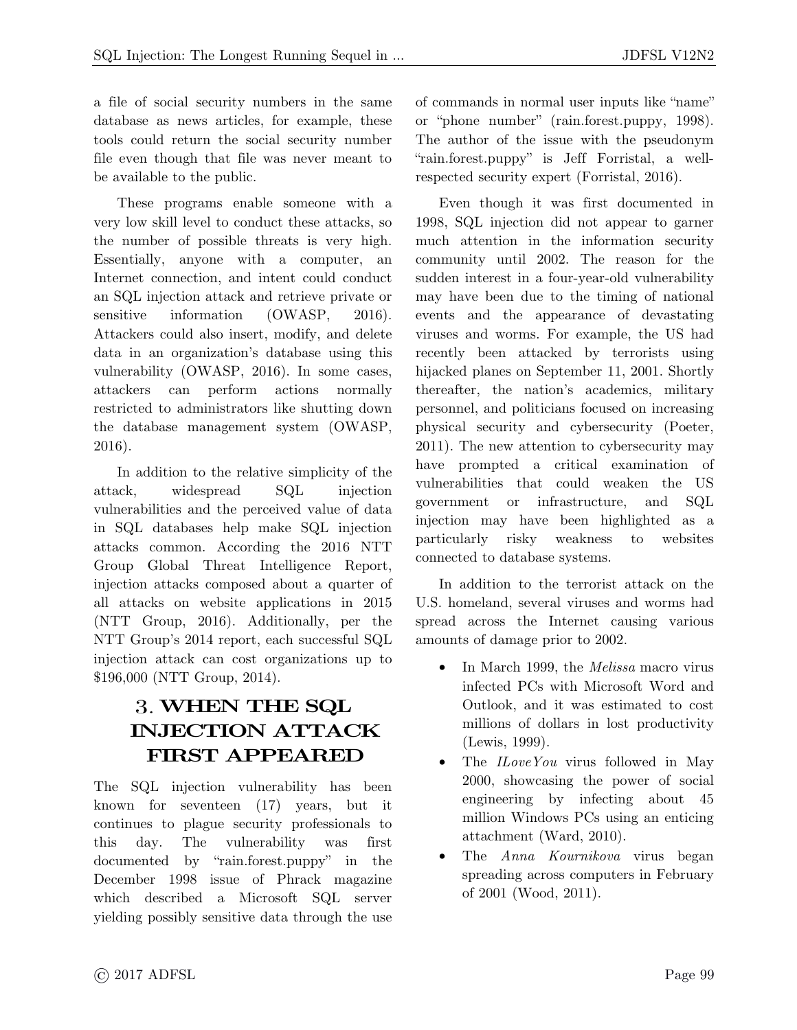a file of social security numbers in the same tools could return the social security number file even though that file was never meant to  $f_{\text{in}}$  even though to the public

be available to the public. These programs enable someone with a very low skill level to conduct these attacks, so the number of possible threats is very high. Essentially, anyone with a computer, an Internet connection, and intent could conduct an SQL injection attack and retrieve private or sensitive information  $(OWASP, 2016)$ . Attackers could also insert, modify, and delete data in an organization's database using this vulnerability (OWASP, 2016). In some cases, attackers can perform actions normally restricted to administrators like shutting down  $r_{\text{th}}$  deterministers management system  $\int$   $\frac{1}{N}$   $\frac{1}{N}$  $t_{\text{max}}$  $20 - 27.$ 

In addition to the relative simplicity of the attack, widespread SQL injection vulnerabilities and the perceived value of data in SQL databases help make SQL injection attacks common. According the 2016 NTT Group Global Threat Intelligence Report, injection attacks composed about a quarter of all attacks on website applications in 2015 (NTT Group, 2016). Additionally, per the NTT Group's 2014 report, each successful SQL injection attack can cost organizations up to  $106000(NTT)$   $C_{\text{Foup}}$   $2014$ )  $\left(\begin{array}{ccc}1 & 0 & 0 & 0\\0 & 0 & 0 & 0\\0 & 0 & 0 & 0\end{array}\right)$ 

## **WHEN THE SQL INJECTION ATTACK FIRST APPEARED**

The SQL injection vulnerability has been<br>known for seventeen (17) years, but it continues to plague security professionals to this day. The vulnerability was first documented by "rain.forest.puppy" in the December 1998 issue of Phrack magazine which described a Microsoft SQL server yielding possibly sensitive data through the use  $y$ -rough possibly sensitive data through the use of commands in normal user inputs like "name"<br>or "phone number" (rain.forest.puppy, 1998). The author of the issue with the pseudonym "rain.forest.puppy" is Jeff Forristal, a well $r^{\text{applied}}$  society over (Forristal, 2016) respectively to  $\mathbf{r}$  expert (Forristal, 2016).

Even though it was first documented in 1998, SQL injection did not appear to garner much attention in the information security community until 2002. The reason for the sudden interest in a four-year-old vulnerability may have been due to the timing of national events and the appearance of devastating viruses and worms. For example, the US had recently been attacked by terrorists using hijacked planes on September 11, 2001. Shortly thereafter, the nation's academics, military personnel, and politicians focused on increasing physical security and cybersecurity (Poeter, 2011). The new attention to cybersecurity may have prompted a critical examination of vulnerabilities that could weaken the US government or infrastructure, and SQL injection may have been highlighted as a particularly risky weakness to websites particularly risky weakness to websites connected to database systems.

In addition to the terrorist attack on the U.S. homeland, several viruses and worms had spread across the Internet causing various amounts of damage prior to 2002. amounts of damage prior to 2002.

- In March 1999, the *Melissa* macro virus Outlook, and it was estimated to cost millions of dollars in lost productivity  $(Lewis, 1999).$
- The  $ILoveYou$  virus followed in May<br>2000, showcoving the normal function 2000, showcasing the power of social<br>engineering by infecting about 45 million Windows PCs using an enticing attachment (Ward, 2010).
- The *Anna Kournikova* virus began  $\frac{1}{\pi}$  and  $\frac{1}{\pi}$  and  $\frac{1}{\pi}$  and  $\frac{1}{\pi}$  $\sum_{i=1}^{n}$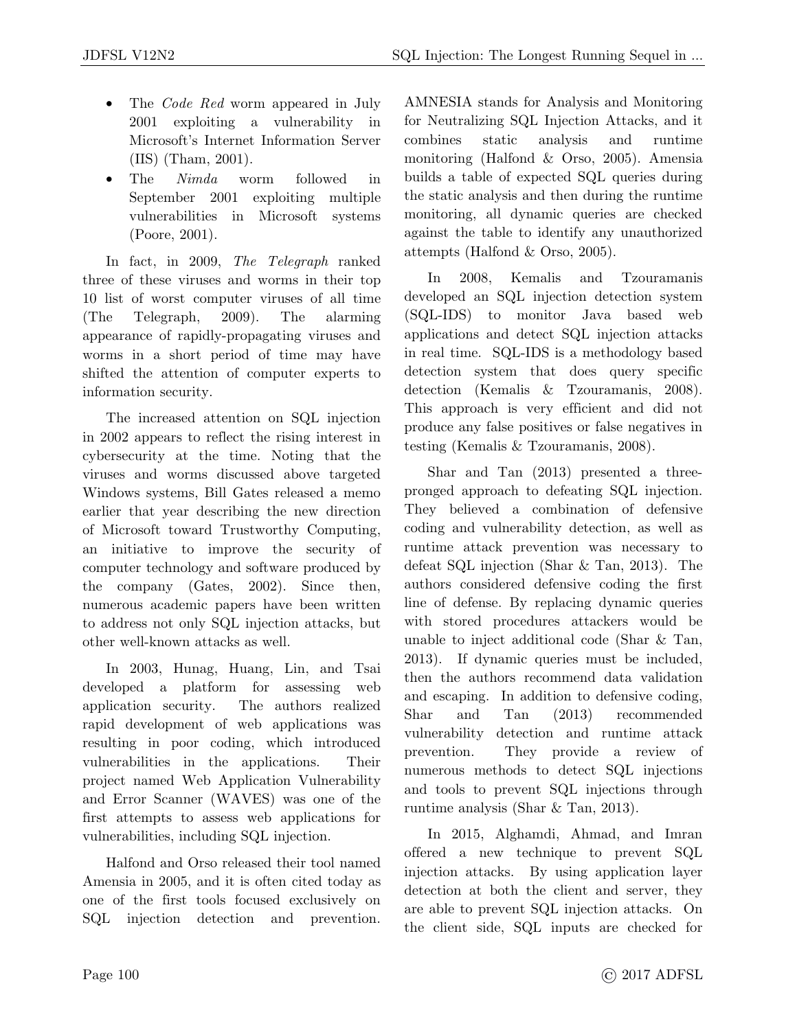- The *Code Red* worm appeared in July<br>2001 exploiting a vulnerability in Microsoft's Internet Information Server  $(IIS)$  (Tham, 2001).
- The *Nimda* worm The *Nimda* worm followed in<br>September 2001 exploiting multiple vulnerabilities in Microsoft systems  $(v_0, v_1, v_2, v_3, v_4, v_5, v_6, v_7, v_7, v_8, v_9, v_9, v_1, v_1, v_2, v_3, v_4, v_5, v_6, v_7, v_7, v_8, v_9, v_1, v_1, v_2, v_3, v_4, v_1, v_2, v_3, v_4, v_5, v_6, v_7, v_7, v_8, v_9, v_1, v_1, v_2, v_3, v_1, v_2, v_3, v_4, v_5, v_6, v_7, v_7, v_8, v_9, v_1, v_1, v_2,$  $($   $($   $($   $)$   $($   $)$   $($   $)$   $($   $)$   $($   $)$   $($   $)$   $($   $)$   $($   $)$   $($   $)$   $($   $)$   $($   $)$   $($   $)$   $($   $)$   $($   $)$   $($   $)$   $($   $)$   $($   $)$   $($   $)$   $($   $)$   $($   $)$   $($   $)$   $($   $)$   $($   $)$   $($   $)$   $($   $)$   $($   $)$   $($

In fact, in 2009, *The Telegraph* ranked<br>three of these viruses and worms in their top three of these viruses and worker in their top 10 met de worst computer viruste of an inter-(The Telegraph, 2009). The alarming<br>appearance of rapidly-propagating viruses and worms in a short period of time may have shifted the attention of computer experts to information security.  $\cdots$ 

The increased attention on SQL injection<br>in 2002 appears to reflect the rising interest in cybers ecurity at the time. Noting that the viruses and worms discussed above targeted Windows systems, Bill Gates released a memo earlier that year describing the new direction of Microsoft toward Trustworthy Computing, an initiative to improve the security of computer technology and software produced by the company (Gates, 2002). Since then, numerous academic papers have been written to address not only SQL injection attacks, but other well-known attacks as well.

In 2003, Hunag, Huang, Lin, and Tsai<br>developed a platform for assessing web application security. The authors realized rapid development of web applications was resulting in poor coding, which introduced vulnerabilities in the applications. Their project named Web Application Vulnerability and Error Scanner (WAVES) was one of the first attempts to assess web applications for  $\frac{1}{\sqrt{1+\epsilon}}$  in  $\frac{1}{\sqrt{1+\epsilon}}$  is a propositions for a propositions for  $\frac{1}{\sqrt{1+\epsilon}}$ 

vulnerabilities, including  $S \subset \mathcal{N}$  is given by Halfond and Orso released their tool named<br>Amensia in 2005, and it is often cited today as one of the first tools focused exclusively on  $\overline{SOT}$  injection detection and prevention SQL injection detection and prevention.

 $\frac{1}{\sqrt{2}}$  stands for Neutralians  $\frac{1}{\sqrt{2}}$  state and  $\frac{1}{\sqrt{2}}$ for Neutralizing SQL Injection Internation, and its combines static analysis and runtime<br>monitoring (Halfond & Orso, 2005). Amensia builds a table of expected SQL queries during the static analysis and then during the runtime monitoring, all dynamic queries are checked against the table to identify any unauthorized attempts (Halfond  $&$  Orso, 2005).

attempts (Halfond & Orso, 2005). In 2008, Kemalis and Tzouramanis<br>developed an SQL injection detection system (SQL-IDS) to monitor Java based web applications and detect SQL injection attacks in real time. SQL-IDS is a methodology based detection system that does query specific detection (Kemalis  $\&$  Tzouramanis, 2008). This approach is very efficient and did not produce any false positives or false negatives in testing (Kemalis  $\&$  Tzouramanis, 2008).  $t_{\text{max}}$  (Testimates  $\alpha$  Tzouramanis, 2008).

Shar and Tan (2013) presented a three-<br>pronged approach to defeating SQL injection. They believed a combination of defensive coding and vulnerability detection, as well as runtime attack prevention was necessary to defeat SQL injection (Shar  $\&$  Tan, 2013). The authors considered defensive coding the first line of defense. By replacing dynamic queries with stored procedures attackers would be unable to inject additional code (Shar  $&$  Tan, 2013). If dynamic queries must be included, then the authors recommend data validation and escaping. In addition to defensive coding,  $\text{Shar}$  and  $\text{Tan}$  (2013) recommended vulnerability detection and runtime attack prevention. They provide a review of numerous methods to detect SQL injections and tools to prevent SQL injections through  $\frac{1}{2}$  and tools to prevent  $\frac{1}{2}$   $\frac{1}{2}$  injections through runtime analysis (Shar & Tan, 2013).

In 2015, Alghamdi, Ahmad, and Imran<br>offered a new technique to prevent SQL injection attacks. By using application layer detection at both the client and server, they are able to prevent SQL injection attacks. On  $\frac{1}{2}$  and  $\frac{1}{2}$  in  $\frac{1}{2}$  in  $\frac{1}{2}$  in  $\frac{1}{2}$  in  $\frac{1}{2}$  in  $\frac{1}{2}$  in  $\frac{1}{2}$  in  $\frac{1}{2}$  in  $\frac{1}{2}$  in  $\frac{1}{2}$  in  $\frac{1}{2}$  in  $\frac{1}{2}$  in  $\frac{1}{2}$  in  $\frac{1}{2}$  in  $\frac{1}{2}$  in  $\frac{1}{2}$  in  $\sum_{i=1}^{n}$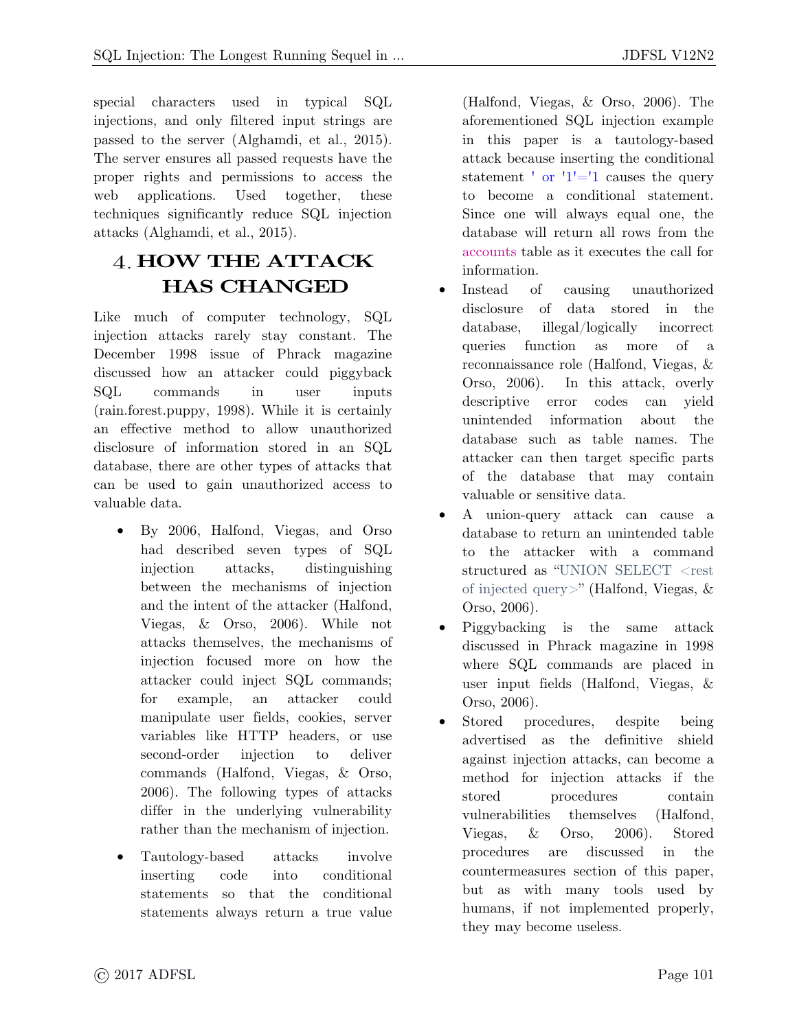special characters used in typical SQL<br>injections, and only filtered input strings are passed to the server (Alghamdi, et al., 2015). The server ensures all passed requests have the proper rights and permissions to access the web applications. Used together, these techniques significantly reduce SQL injection attacks (Alghamdi, et al., 2015). attacks (Alghamdi, et al., 2015).

### **HOW THE ATTACK HAS CHANGED**

Like much of computer technology, SQL<br>injection attacks rarely stay constant. The December 1998 issue of Phrack magazine. discussed how an attacker could piggyback SQL commands in user inputs  $(rain.forest.puppv, 1998)$ . While it is certainly an effective method to allow unauthorized disclosure of information stored in an SQL database, there are other types of attacks that can be used to gain unauthorized access to valuable data.

- By 2006, Halfond, Viegas, and Orso<br>had described seven types of SQL injection attacks, distinguishing between the mechanisms of injection and the intent of the attacker (Halfond, Viegas,  $\&$  Orso, 2006). While not attacks themselves, the mechanisms of injection focused more on how the injection focused more on how the attacker could inject SQL community; for example, an attacker could<br>manipulate user fields, cookies, server  $\frac{1}{\sqrt{1-\frac{1}{n}}}\left\{\frac{1}{n}\right\}$  which is the user fields of  $\frac{1}{n}$  in  $\frac{1}{n}$  in  $\frac{1}{n}$  is the user fields of  $\frac{1}{n}$  in  $\frac{1}{n}$  is the user fields of  $\frac{1}{n}$  is the user field of  $\frac{1}{n}$  is the user field variables like HTTP headers, or use second-order injection to deliver<br>commands (Halfond, Viegas, & Orso, 2006). The following types of attacks differ in the underlying vulnerability  $\frac{d}{dx}$  is the underlying value  $\frac{d}{dx}$ rather than the mechanism of injection.
- Tautology-based attacks involve<br>inserting code into conditional statements so that the conditional statements always return a true value  $s$  and  $s$  always  $\frac{1}{s}$  return a true value

(Halfond, Viegas, & Orso, 2006). The in this paper is a tautology-based attack because inserting the conditional statement  $'$  or  $'1'=1$  causes the query Since one will always equal one, the database will return all rows from the accounts table as it executes the call for information.

- Instead of Instead of causing unauthorized<br>disclosure of data stored in the database, illegal/logically incorrect queries function as more of a reconnaissance role (Halfond, Viegas,  $\&$ Orso,  $2006$ ). In this attack, overly descriptive error codes can yield unintended information about the database such as table names. The attacker can then target specific parts of the database that may contain valuable or sensitive data.
- A union-query attack can cause a database to return an universited table. database to return an unintended table<br>to the attacker with a command structured as "UNION SELECT  $\langle$ rest of injected query>" (Halfond, Viegas,  $\&$ Orso, 2006).
- Piggybacking is the same attack<br>discussed in Phrask magazine in  $1008$ discussed in Phrack magazine in 1998<br>where SQL commands are placed in user input fields (Halfond, Viegas,  $\&$ Orso,  $2006$ ).
- Stored procedures, • Stored procedures, despite being<br>advertised as the definitive shield against injection attacks, can become a method for injection attacks if the stored procedures contain vulnerabilities themselves (Halfond, vulnerabilities themselves (Halfond, Viegas, & Orso, 2006). Stored<br>procedures are discussed in the countermeasures section of this paper, but as with many tools used by humans, if not implemented properly, they may become useless. they may become useless.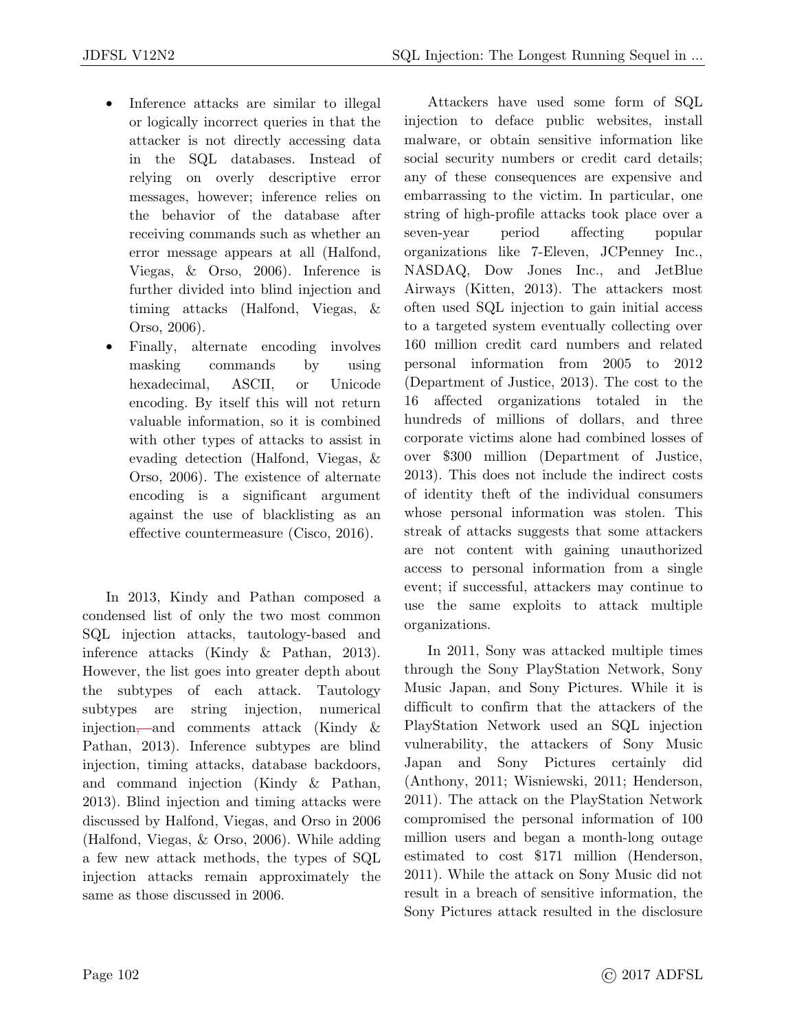- Inference attacks are similar to illegal or logically incorrect queries in that the attacker is not directly accessing data in the SQL databases. Instead of relying on overly descriptive error messages, however; inference relies on the behavior of the database after receiving commands such as whether an error message appears at all (Halfond, Viegas,  $\&$  Orso, 2006). Inference is further divided into blind injection and timing attacks (Halfond, Viegas,  $\&$ Orso,  $2006$ ).
- Finally, alternate encoding involves masking commands by using<br>hexadecimal, ASCII, or Unicode encoding. By itself this will not return valuable information, so it is combined with other types of attacks to assist in evading detection (Halfond, Viegas,  $\&$ Orso,  $2006$ ). The existence of alternate encoding is a significant argument against the use of blacklisting as an effective countermeasure (Cisco,  $2016$ ). effective countermeasure (Cisco, 2016).

In 2013, Kindy and Pathan composed a condensed list of only the two most common SQL injection attacks, tautology-based and inference attacks (Kindy  $\&$  Pathan, 2013). However, the list goes into greater depth about the subtypes of each attack. Tautology subtypes are string injection, numerical injection,—and comments attack (Kindy  $\&$ Pathan, 2013). Inference subtypes are blind injection, timing attacks, database backdoors, and command injection (Kindy  $& \text{Pathan},$ 2013). Blind injection and timing attacks were discussed by Halfond, Viegas, and Orso in 2006 (Halfond, Viegas,  $\&$  Orso, 2006). While adding a few new attack methods, the types of SQL injection attacks remain approximately the same as those discussed in 2006. same as those discussed in 2006.

Attackers have used some form of SQL injection to deface public websites, install malware, or obtain sensitive information like social security numbers or credit card details; any of these consequences are expensive and embarrassing to the victim. In particular, one embarrassing to the victim. In particular, one string of high-profile attacks took place over a seven-year period affecting popular<br>organizations like 7-Eleven, JCPenney Inc., NASDAQ, Dow Jones Inc., and JetBlue Airways (Kitten, 2013). The attackers most often used SQL injection to gain initial access to a targeted system eventually collecting over 160 million credit card numbers and related personal information from  $2005$  to  $2012$ (Department of Justice, 2013). The cost to the 16 affected organizations totaled in the hundreds of millions of dollars, and three corporate victims alone had combined losses of over \$300 million (Department of Justice,  $2013$ ). This does not include the indirect costs of identity the ft of the individual consumers whose personal information was stolen. This streak of attacks suggests that some attackers. are not content with gaining unauthorized access to personal information from a single event; if successful, attackers may continue to  $e^{i\theta}$  is such a  $i$ , and the  $i$ , attackers multiple use the same exploits to attack multiple organizations.

In 2011, Sony was attacked multiple times<br>through the Sony PlayStation Network, Sony Music Japan, and Sony Pictures. While it is difficult to confirm that the attackers of the PlayStation Network used an SQL injection vulnerability, the attackers of Sony Music Japan and Sony Pictures certainly did  $(Anthony, 2011; Wisniewski, 2011; Henderson,$ 2011). The attack on the PlayStation Network compromised the personal information of 100 million users and began a month-long outage estimated to cost  $$171$  million (Henderson, 2011). While the attack on Sony Music did not result in a breach of sensitive information, the Sony Pictures attack resulted in the disclosure  $S \sim 1$  Pictures attack results in the disclosure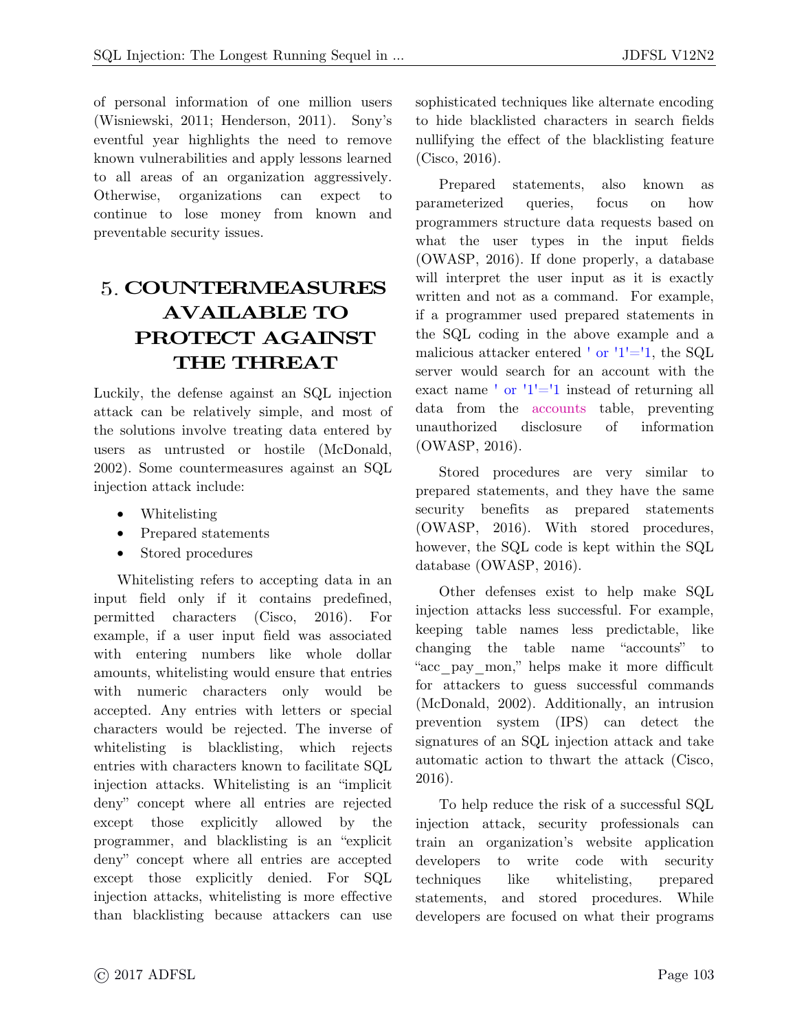of personal information of one million users<br>(Wisniewski, 2011; Henderson, 2011). Sony's eventful year highlights the need to remove known vulnerabilities and apply lessons learned to all areas of an organization aggressively. Otherwise, organizations can expect to continue to lose money from known and preventable security issues.  $\mathbf{p}$  is such that security is such as  $\mathbf{p}$ 

## **COUNTERMEASURES AVAILABLE TO PROTECT AGAINST THE THREAT**

Luckily, the defense against an SQL injection the solutions involve treating data entered by users as untrusted or hostile (McDonald, 2002). Some countermeasures against an SQL injection attack include:  $j<sub>i</sub>$  in the contract include  $i<sub>i</sub>$ 

- Whitelisting
- Prepared statements<br>• Stored procedures
- Stored procedures

Whitelisting refers to accepting data in an input field only if it contains predefined, permitted characters  $(Cisco, 2016)$ . For example, if a user input field was associated with entering numbers like whole dollar amounts, white listing would ensure that entries with numeric characters only would be accepted. Any entries with letters or special characters would be rejected. The inverse of white listing is black listing, which rejects entries with characters known to facilitate SQL injection attacks. Whitelisting is an "implicit" deny" concept where all entries are rejected except those explicitly allowed by the programmer, and blacklisting is an "explicit" deny" concept where all entries are accepted except those explicitly denied. For SQL injection attacks, whitelisting is more effective.  $\lim_{n \to \infty}$  is  $\frac{1}{n}$  in  $\frac{1}{n}$  or  $\frac{1}{n}$ than blacklisting because attackers can use

sophisticated techniques like alternate encoding<br>to hide blacklisted characters in search fields nullifying the effect of the blacklisting feature  $(Cisco, 2016)$ .  $(2 \cdot 2 \cdot 1)$ .

Prepared statements, also known as<br>parameterized queries, focus on how known as programmers structure data requests based on what the user types in the input fields  $(OWASP, 2016)$ . If done properly, a database will interpret the user input as it is exactly written and not as a command. For example, if a programmer used prepared statements in the SQL coding in the above example and a malicious attacker entered ' or '1'='1, the SQL  $\frac{1}{\pi}$  exact name ' or '1'='1 instead of returning all data from the accounts table, preventing<br>unauthorized disclosure of information  $(OWACD, 9016)$  $(20.12227, 2029)$ .

Stored procedures are very similar to<br>prepared statements, and they have the same security benefits as prepared statements  $(OWASP, 2016)$ . With stored procedures, however, the SQL code is kept within the SQL  $h_{\text{other}}$  (OWACD 2016)  $\frac{d}{dx}$ 

Other defenses exist to help make SQL injection attacks less successful. For example, keeping table names less predictable, like changing the table name "accounts" to "accounts" names it more difficult for attackers to guess successful commands (McDonald, 2002). Additionally, an intrusion prevention system (IPS) can detect the signatures of an SQL injection attack and take automatic action to thwart the attack (Cisco, and the attack of the attack (Cisco,  $(2016)$  $20-2)$ .

To help reduce the risk of a successful SQL<br>injection attack, security professionals can train an organization's website application developers to write code with security techniques like white listing, prepared statements, and stored procedures. While developers are focused on what their programs. developers are focused on what their programs  $\mathbf{r}$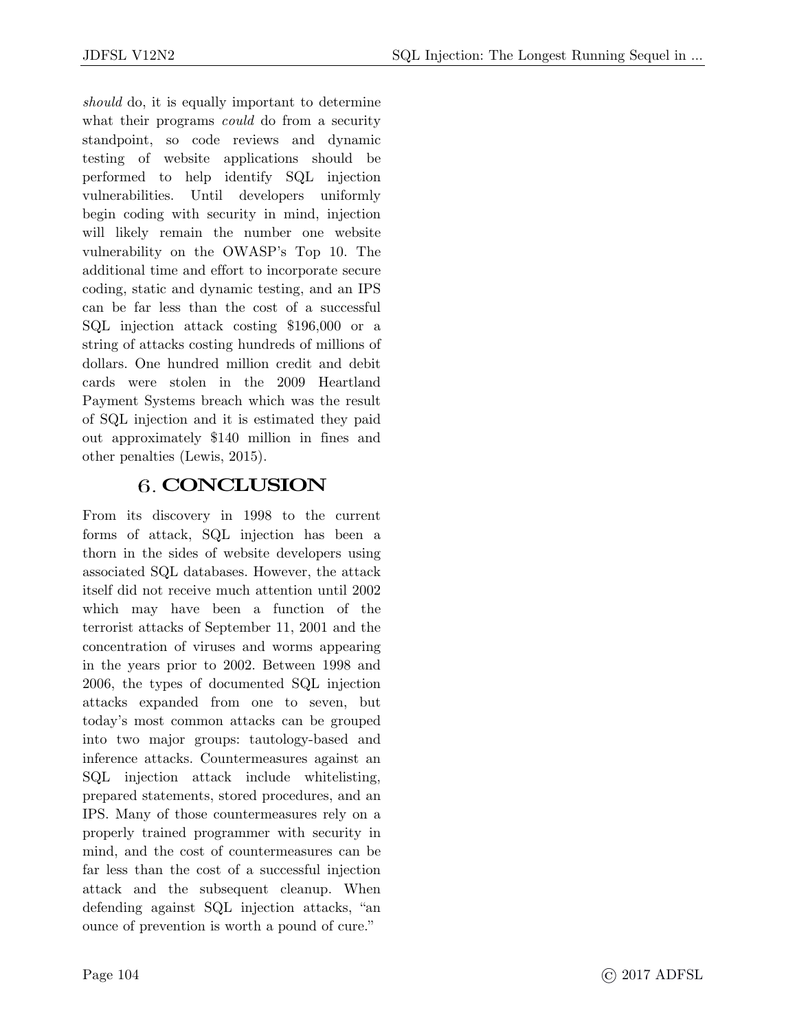*should* do, it is equally important to determine what their programs *could* do from a security<br>standpoint, so code reviews and dynamic testing of website applications should be performed to help identify SQL injection vulnerabilities. Until developers uniformly begin coding with security in mind, injection will likely remain the number one website vulnerability on the OWASP's Top 10. The additional time and effort to incorporate secure coding, static and dynamic testing, and an IPS can be far less than the cost of a successful SQL injection attack costing \$196,000 or a string of attacks costing hundreds of millions of dollars. One hundred million credit and debit cards were stolen in the 2009 Heartland Payment Systems breach which was the result of SQL injection and it is estimated they paid out approximately \$140 million in fines and  $\sum_{\text{other noneltic}}$  (Levis 2015) other penalties (Lewis, 2015).

#### **CONCLUSION**

From its discovery in 1998 to the current<br>forms of attack, SQL injection has been a thorn in the sides of website developers using associated SQL databases. However, the attack itself did not receive much attention until 2002 which may have been a function of the terrorist attacks of September 11, 2001 and the concentration of viruses and worms appearing in the years prior to 2002. Between 1998 and 2006, the types of documented SQL injection attacks expanded from one to seven, but today's most common attacks can be grouped into two major groups: tautology-based and inference attacks. Countermeasures against an SQL injection attack include whitelisting, prepared statements, stored procedures, and an IPS. Many of those countermeasures rely on a properly trained programmer with security in mind, and the cost of countermeasures can be far less than the cost of a successful injection attack and the subsequent cleanup. When defending against SQL injection attacks, "an ounce of prevention is worth a pound of cure." ounce of prevention is worth a pound of cure."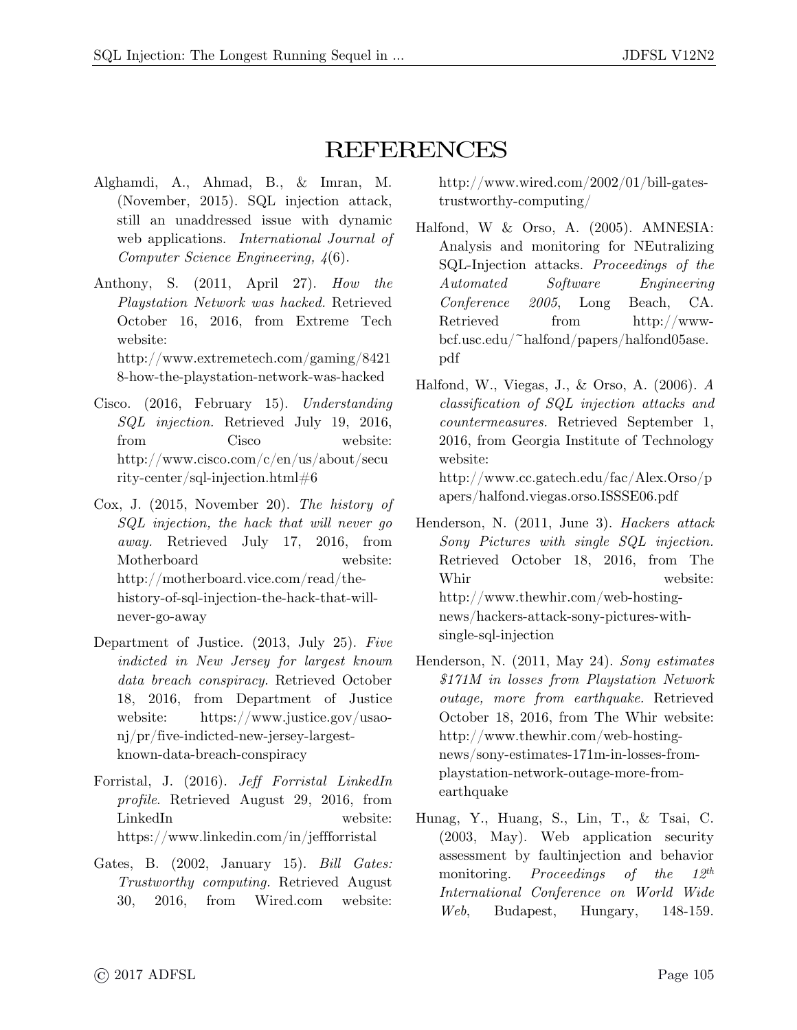- REFERENCES<br>Alghamdi, A., Ahmad, B., & Imran, M. http://www.wired.com/2002/01/bill-gates-(November, 2015). SQL injection attack, still an unaddressed issue with dynamic web applications. *International Journal of* Computer Science Engineering  $l(6)$ *Computer Science Engineering, 4*(6).
- Anthony, S. (2011, April 27). *How the Playstation Network was hacked.* Retrieved October 16, 2016, from Extreme Tech http://www.extremetech.com/gaming/8421  $\frac{h}{\sqrt{2}}$  how the playetation naturals was hacked. 8-how-the-playstation-network-was-hacked
- Cisco. (2016, February 15). *Understanding SQL injection.* Retrieved July 19, 2016, http://www.cisco.com/c/en/us/about/secu  $\frac{1}{\pi}$  $r_{\text{ref}}$ -center/sql-injection.html  $\frac{1}{6}$
- Cox, J. (2015, November 20). *The history of SQL injection, the hack that will never go away.* Retrieved July 17, 2016, from http://motherboard.vice.com/read/thehttp://mot.com/example.com/read-the-hack-that-willnever-go-away never-go-away
- Department of Justice. (2013, July 25). *Five indicted in New Jersey for largest known*  data breach conspiracy. Retrieved October 18, 2016, from Department of Justice website: https://www.justice.gov/usao- $\eta$ j/pr/five-indicted-new-jersey-largestknown-data-breach-conspiracy  $k$  is a decomposition of  $\mathbf{r}$  and  $\mathbf{r}$
- Forristal, J. (2016). *Jeff Forristal LinkedIn profile*. Retrieved August 29, 2016, from  $\frac{1}{\pi}$  $\mathbf{H}(\mathbf{r},\mathbf{r})$  whose measured difference only  $\mathbf{H}(\mathbf{r})$  is denoted by the set
- Gates, B. (2002, January 15). *Bill Gates: Trustworthy computing.* Retrieved August 30, 2016, from Wired.com website:

 $trustworthy-computing/$  $\mathbf{t}$  trustworthy-computing  $\mathbf{t}$ 

- Halfond, W & Orso, A. (2005). AMNESIA:<br>Analysis and monitoring for NEutralizing Analysis and monitoring for NEutralizing SQL-Injection attacks. *Proceedings of the Automated Software Engineering Conference 2005*, Long Beach, CA.<br>Retrieved from http://www $bcf.$ usc.edu/~halfond/papers/halfond05ase. bcf.usc.edu/~halfond/papers/halfond05ase. pdf
- Halfond, W., Viegas, J., & Orso, A. (2006). *<sup>A</sup> classification of SQL injection attacks and countermeasures.* Retrieved September 1, 2016, from Georgia Institute of Technology website:<br>http://www.cc.gatech.edu/fac/Alex.Orso/p

apers/halfond.viegas.orso.ISSSE06.pdf  $\mathbf{v}_1$  and  $\mathbf{v}_2$  is a proportion. In the contract of the contract of  $\mathbf{v}_1$  and  $\mathbf{v}_2$ Henderson, N. (2011, June 3). *Hackers attack* 

- *Sony Pictures with single SQL injection.*  $W_{\text{bin}}$  under  $W_{\text{bin}}$ Whir well<br>http://www.thewhir.com/web-hostinghttp://hackers-attack-sony-pictures-withsingle-sql-injection  $\sim$   $\sim$   $\sim$   $\sim$   $\sim$   $\sim$   $\sim$
- Henderson, N. (2011, May 24). *Sony estimates \$171M in losses from Playstation Network outage, more from earthquake.* Retrieved  $http://www.thewhir.com/web-hosting$ http://www.thurles-171m-in-losses-fromplaystation-network-outage-more-fromplaystation-network-outage-more-fromearthquake
- Hunag, Y., Huang, S., Lin, T., & Tsai, C.<br>(2003, May). Web application security assessment by faultingection and behavior monitoring. Proceedings of the  $12^{th}$ monitoring. *Proceedings of the 12th International Conference on World Wide Web*, Budapest, Hungary, 148-159.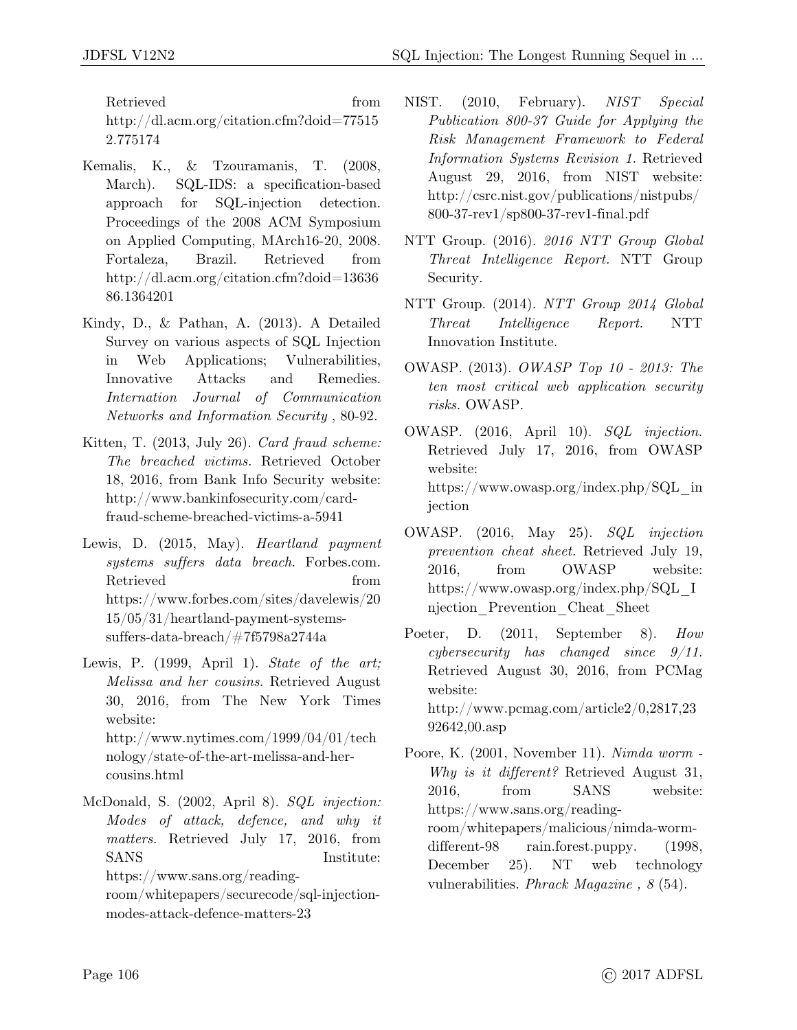$R_{\text{kin}}$  //dl sem erg/eitetien efm?deid-77515  $\frac{1}{9}$   $\frac{1}{775174}$ 2.775174

- Kemalis, K., & Tzouramanis, T. (2008, March). SQL-IDS: a specification-based approach for SQL-injection detection. Proceedings of the 2008 ACM Symposium  $\text{P}_2$  Proceedings of the 2008 Process  $\frac{1}{2}$  and  $\frac{1}{2}$   $\frac{1}{2}$  $\Gamma$ <sup>1</sup>  $\Gamma$ <sup>1</sup>  $\Gamma$ <sup>1</sup>  $\Gamma$ <sup>1</sup>  $\Gamma$ <sup>1</sup>  $\Gamma$ <sup>1</sup>  $\Gamma$ <sup>1</sup>  $\Gamma$ <sup>1</sup>  $\Gamma$ <sup>1</sup>  $\Gamma$ <sup>1</sup>  $\Gamma$ <sup>1</sup>  $\Gamma$ <sup>1</sup>  $\Gamma$ <sup>1</sup>  $\Gamma$ <sup>1</sup>  $\Gamma$ <sup>1</sup>  $\Gamma$ <sup>1</sup>  $\Gamma$ <sup>1</sup>  $\Gamma$ <sup>1</sup>  $\Gamma$ <sup>1</sup>  $\Gamma$ <sup>1</sup>  $\Gamma$ <sup>1</sup>  $\Gamma$  $\frac{1}{2}$  $\frac{1}{96}$  https://december/doid=13636696.html 86.1364201
- Kindy, D., & Pathan, A. (2013). A Detailed<br>Survey on various aspects of SQL Injection in Web Applications; Vulnerabilities, Innovative Attacks and Remedies. Innovative Attacks and Remedies. *Internation Journal of Communication Networks and Information Security* , 80-92.
- Kitten, T. (2013, July 26). *Card fraud scheme: The breached victims.* Retrieved October http://www.bankinfosecurity.com/cardfraud-scheme-breached-victims-a-5941 fraud-scheme-breached-victims-a-5941
- Lewis, D. (2015, May). *Heartland payment systems suffers data breach*. Forbes.com.  $\hbar \text{tips:} //$ www.forbes.com/sites/davelewis/20  $15/05/31/h$ eartland-payment-systems- $15/27/2$  $s = 0.5$  and  $s = 0.00027$   $\frac{1}{7}$   $\frac{1}{7}$   $\frac{1}{5}$
- Lewis, P. (1999, April 1). *State of the art; Melissa and her cousins.* Retrieved August 30, 2016, from The New York Times http://www.nytimes.com/1999/04/01/tech nology/state-of-the-art-melissa-and-hercousins.html
- McDonald, S. (2002, April 8). *SQL injection: Modes of attack, defence, and why it matters.* Retrieved July 17, 2016, from https://www.sans.org/readingroom/whitepapers/securecode/sql-injection
	- $modes-attack-defence-matters-23$ modes-attack-defence-matters-23
- NIST. (2010, February). *NIST Special Publication 800-37 Guide for Applying the Risk Management Framework to Federal Information Systems Revision 1.* Retrieved  $http://csrc.nist.gov/publications/nistpubs/$  $\frac{1}{27}$  http://corrections/nister.gov/publications/nister.gov/publications/nister.gov/publications/nister.gov/publications/nister.gov/publications/nister.gov/publications/nister.gov/publications/nister.gov/publications  $\mathbf{r}$
- NTT Group. (2016). *2016 NTT Group Global Threat Intelligence Report.* NTT Group Security.
- NTT Group. (2014). *NTT Group 2014 Global Innovation Institute.*
- OWASP. (2013). *OWASP Top 10 2013: The ten most critical web application security risks.* OWASP.
- OWASP. (2016, April 10). *SQL injection.* Retrieved July 17, 2016, from OWASP<br>website:  $h_{\text{th}}$  // $\frac{1}{2}$  $\frac{1}{\sqrt{2}}$  here is  $\frac{1}{\sqrt{2}}$ ,  $\frac{1}{\sqrt{2}}$ ,  $\frac{1}{\sqrt{2}}$ ,  $\frac{1}{\sqrt{2}}$
- jection OWASP. (2016, May 25). *SQL injection prevention cheat sheet.* Retrieved July 19,<br>2016, from OWASP website: https://www.owasp.org/index.php/SQL I  $\frac{1}{\sqrt{2}}$  here  $\frac{1}{\sqrt{2}}$  and  $\frac{1}{\sqrt{2}}$  and  $\frac{1}{\sqrt{2}}$  best. njection\_prevention\_cheat\_sheet
- Poeter, D. (2011, September 8). *How*<br>expressessing her chanced since 0/11 *cybersecurity has changed since 9/11*. Retrieved August 30, 2016, from PCMag website:  $\frac{1}{2}$  (10.000  $\frac{1}{2}$  article<sup>2</sup>/0,2817,  $\frac{1}{2}$  article<sup>2</sup>/0,2817,  $\frac{1}{2}$
- $\frac{1}{2}$ Poore, K. (2001, November 11). *Nimda worm - Why is it different?* Retrieved August 31, 2016. from SANS website:  $\frac{8}{2}$ thttps://www.sans.org/readingroom/whitepapers/malicious/nimda-wormdifferent-98  $\ldots$  rain.forest.puppy. (1998, December 25). NT web technology vulnerabilities. *Phrack Magazine , 8* (54).